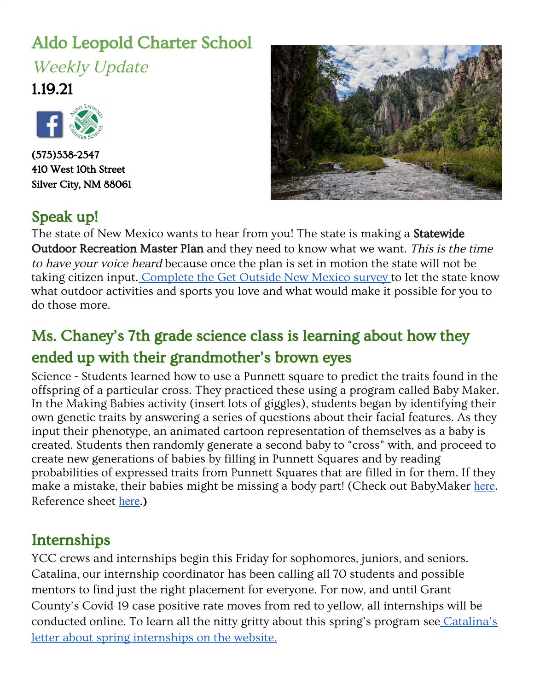# Aldo Leopold Charter School Weekly Update

1.19.21



(575)538-2547 410 West 10th Street Silver City, NM 88061



## Speak up!

The state of New Mexico wants to hear from you! The state is making a **Statewide** Outdoor Recreation Master Plan and they need to know what we want. This is the time to have your voice heard because once the plan is set in motion the state will not be taking citizen input. [Complete](https://www.getoutsidenm.org/) the Get Outside New Mexico survey to let the state know what outdoor activities and sports you love and what would make it possible for you to do those more.

## Ms. Chaney's 7th grade science class is learning about how they ended up with their grandmother's brown eyes

Science - Students learned how to use a Punnett square to predict the traits found in the offspring of a particular cross. They practiced these using a program called Baby Maker. In the Making Babies activity (insert lots of giggles), students began by identifying their own genetic traits by answering a series of questions about their facial features. As they input their phenotype, an animated cartoon representation of themselves as a baby is created. Students then randomly generate a second baby to "cross" with, and proceed to create new generations of babies by filling in Punnett Squares and by reading probabilities of expressed traits from Punnett Squares that are filled in for them. If they make a mistake, their babies might be missing a body part! (Check out BabyMaker [here](http://ct.excelwa.org/ctfiles/apps/babymaker.html). Reference sheet [here](http://ct.excelwa.org/ctfiles/science/BabyMaker%20Reference%20Sheet.pdf).)

### Internships

YCC crews and internships begin this Friday for sophomores, juniors, and seniors. Catalina, our internship coordinator has been calling all 70 students and possible mentors to find just the right placement for everyone. For now, and until Grant County's Covid-19 case positive rate moves from red to yellow, all internships will be conducted online. To learn all the nitty gritty about this spring's program see [Catalina's](https://www.aldocs.org/uploads/1/1/5/7/115705285/letter.pdf) letter about spring [internships](https://www.aldocs.org/uploads/1/1/5/7/115705285/letter.pdf) on the website.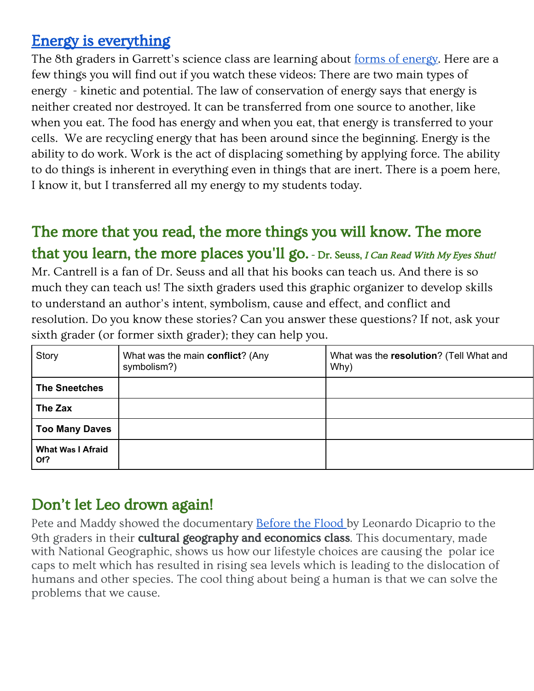#### [Energy is everything](https://www.youtube.com/watch/CW0_S5YpYVo)

The 8th graders in Garrett's science class are learning about forms of [energy](https://www.youtube.com/watch?v=DvCWuOuaG_c). Here are a few things you will find out if you watch these videos: There are two main types of energy - kinetic and potential. The law of conservation of energy says that energy is neither created nor destroyed. It can be transferred from one source to another, like when you eat. The food has energy and when you eat, that energy is transferred to your cells. We are recycling energy that has been around since the beginning. Energy is the ability to do work. Work is the act of displacing something by applying force. The ability to do things is inherent in everything even in things that are inert. There is a poem here, I know it, but I transferred all my energy to my students today.

## The more that you read, the more things you will know. The more that you learn, the more places you'll go. - Dr. Seuss, I Can Read With My [Eyes](https://www.goodreads.com/work/quotes/2333951) Shut!

Mr. Cantrell is a fan of Dr. Seuss and all that his books can teach us. And there is so much they can teach us! The sixth graders used this graphic organizer to develop skills to understand an author's intent, symbolism, cause and effect, and conflict and resolution. Do you know these stories? Can you answer these questions? If not, ask your sixth grader (or former sixth grader); they can help you.

| Story                           | What was the main conflict? (Any<br>symbolism?) | What was the resolution? (Tell What and<br>Why) |
|---------------------------------|-------------------------------------------------|-------------------------------------------------|
| <b>The Sneetches</b>            |                                                 |                                                 |
| The Zax                         |                                                 |                                                 |
| <b>Too Many Daves</b>           |                                                 |                                                 |
| <b>What Was I Afraid</b><br>Of? |                                                 |                                                 |

## Don't let Leo drown again!

Pete and Maddy showed the documentary **[Before](https://www.youtube.com/watch?v=6UGsRcxaSAI) the Flood by Leonardo Dicaprio to the** 9th graders in their cultural geography and economics class. This documentary, made with National Geographic, shows us how our lifestyle choices are causing the polar ice caps to melt which has resulted in rising sea levels which is leading to the dislocation of humans and other species. The cool thing about being a human is that we can solve the problems that we cause.